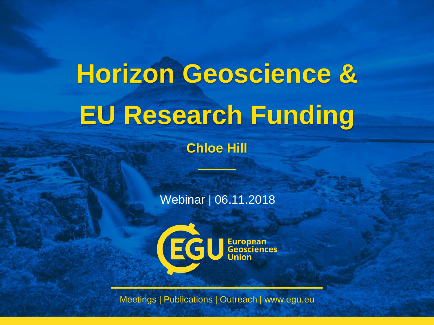# **Horizon Geoscience & EU Research Funding**

**Chloe Hill**

Webinar | 06.11.2018



Meetings | Publications | Outreach | www.egu.eu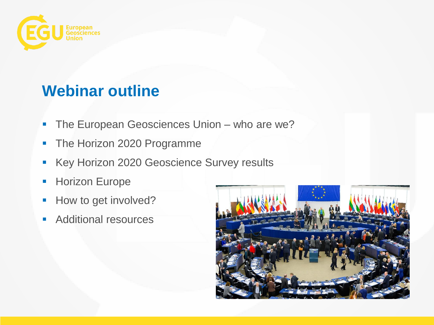

#### **Webinar outline**

- **The European Geosciences Union who are we?**
- The Horizon 2020 Programme
- Key Horizon 2020 Geoscience Survey results
- **Horizon Europe**
- How to get involved?
- **Additional resources**

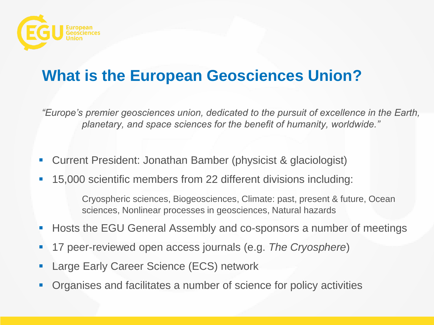

## **What is the European Geosciences Union?**

*"Europe's premier geosciences union, dedicated to the pursuit of excellence in the Earth, planetary, and space sciences for the benefit of humanity, worldwide."*

- Current President: Jonathan Bamber (physicist & glaciologist)
- 15,000 scientific members from 22 different divisions including:

Cryospheric sciences, Biogeosciences, Climate: past, present & future, Ocean sciences, Nonlinear processes in geosciences, Natural hazards

- Hosts the EGU General Assembly and co-sponsors a number of meetings
- 17 peer-reviewed open access journals (e.g. *The Cryosphere*)
- Large Early Career Science (ECS) network
- Organises and facilitates a number of science for policy activities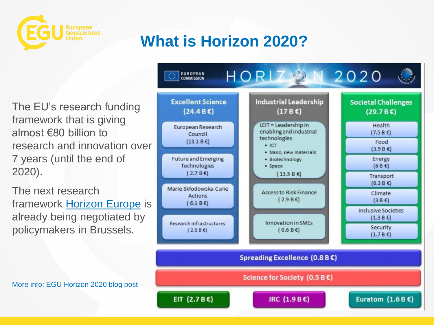

# **What is Horizon 2020?**

The EU's research funding framework that is giving almost €80 billion to research and innovation over 7 years (until the end of 2020).

The next research framework [Horizon Europe](https://ec.europa.eu/info/designing-next-research-and-innovation-framework-programme/what-shapes-next-framework-programme_en) is already being negotiated by policymakers in Brussels.



[More info: EGU Horizon 2020 blog post](https://blogs.egu.eu/geolog/2017/07/28/how-can-geoscientists-make-the-most-of-the-horizon-2020-programme/)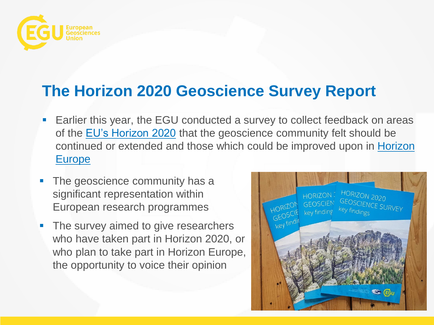

#### **The Horizon 2020 Geoscience Survey Report**

- **Earlier this year, the EGU conducted a survey to collect feedback on areas** of the [EU's Horizon 2020](https://blogs.egu.eu/geolog/2017/07/28/how-can-geoscientists-make-the-most-of-the-horizon-2020-programme/) that the geoscience community felt should be [continued or extended and those which could be improved upon in](https://ec.europa.eu/info/designing-next-research-and-innovation-framework-programme/what-shapes-next-framework-programme_en) Horizon Europe
- The geoscience community has a significant representation within European research programmes
- The survey aimed to give researchers who have taken part in Horizon 2020, or who plan to take part in Horizon Europe, the opportunity to voice their opinion

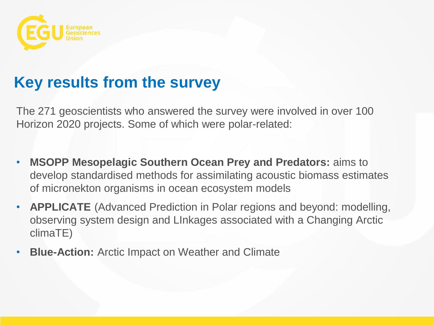

#### **Key results from the survey**

The 271 geoscientists who answered the survey were involved in over 100 Horizon 2020 projects. Some of which were polar-related:

- **MSOPP Mesopelagic Southern Ocean Prey and Predators:** aims to develop standardised methods for assimilating acoustic biomass estimates of micronekton organisms in ocean ecosystem models
- **APPLICATE** (Advanced Prediction in Polar regions and beyond: modelling, observing system design and LInkages associated with a Changing Arctic climaTE)
- **Blue-Action:** Arctic Impact on Weather and Climate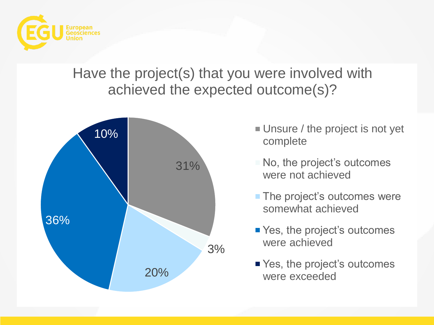

#### Have the project(s) that you were involved with achieved the expected outcome(s)?



- Unsure / the project is not yet complete
- No, the project's outcomes were not achieved
- **The project's outcomes were** somewhat achieved
- Yes, the project's outcomes were achieved
- Yes, the project's outcomes were exceeded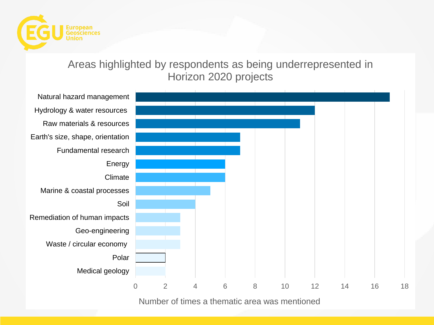

#### Areas highlighted by respondents as being underrepresented in Horizon 2020 projects



Number of times a thematic area was mentioned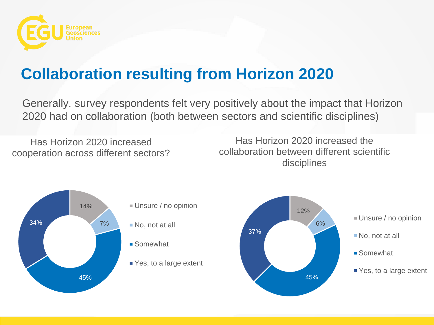

# **Collaboration resulting from Horizon 2020**

Generally, survey respondents felt very positively about the impact that Horizon 2020 had on collaboration (both between sectors and scientific disciplines)

Has Horizon 2020 increased cooperation across different sectors?

Has Horizon 2020 increased the collaboration between different scientific disciplines



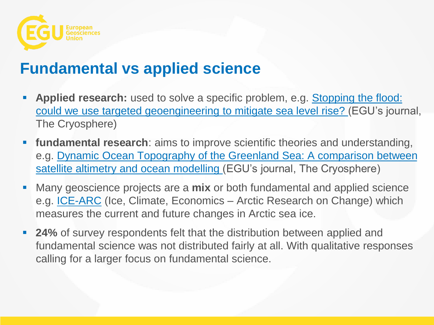

#### **Fundamental vs applied science**

- Applied research: used to solve a specific problem, e.g. Stopping the flood: [could we use targeted geoengineering to mitigate sea level rise?](https://www.the-cryosphere.net/12/2955/2018/) (EGU's journal, The Cryosphere)
- **fundamental research**: aims to improve scientific theories and understanding, e.g. Dynamic Ocean Topography of the Greenland Sea: A comparison between [satellite altimetry and ocean modelling \(EGU's journal, The Cryosphere\)](https://www.the-cryosphere-discuss.net/tc-2018-184/)
- Many geoscience projects are a **mix** or both fundamental and applied science e.g. [ICE-ARC](https://www.ice-arc.eu/) (Ice, Climate, Economics – Arctic Research on Change) which measures the current and future changes in Arctic sea ice.
- **24%** of survey respondents felt that the distribution between applied and fundamental science was not distributed fairly at all. With qualitative responses calling for a larger focus on fundamental science.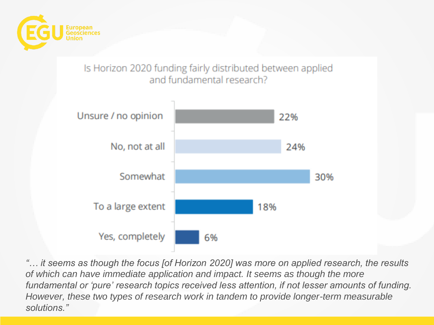

#### Is Horizon 2020 funding fairly distributed between applied and fundamental research?



*"… it seems as though the focus [of Horizon 2020] was more on applied research, the results of which can have immediate application and impact. It seems as though the more fundamental or 'pure' research topics received less attention, if not lesser amounts of funding. However, these two types of research work in tandem to provide longer-term measurable solutions."*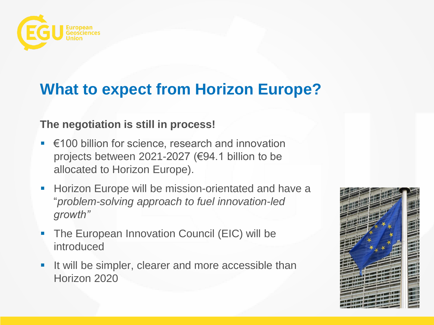

#### **What to expect from Horizon Europe?**

#### **The negotiation is still in process!**

- €100 billion for science, research and innovation projects between 2021-2027 (€94.1 billion to be allocated to Horizon Europe).
- **Horizon Europe will be mission-orientated and have a** "*problem-solving approach to fuel innovation-led growth"*
- The European Innovation Council (EIC) will be introduced
- If will be simpler, clearer and more accessible than Horizon 2020

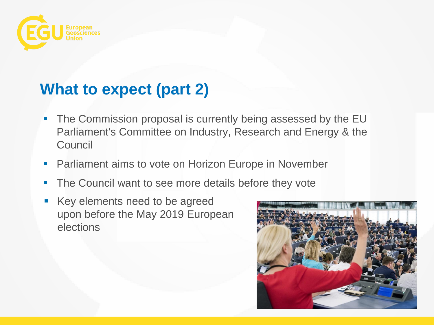

## **What to expect (part 2)**

- **The Commission proposal is currently being assessed by the EU** Parliament's Committee on Industry, Research and Energy & the **Council**
- **Parliament aims to vote on Horizon Europe in November**
- **The Council want to see more details before they vote**
- Key elements need to be agreed upon before the May 2019 European elections

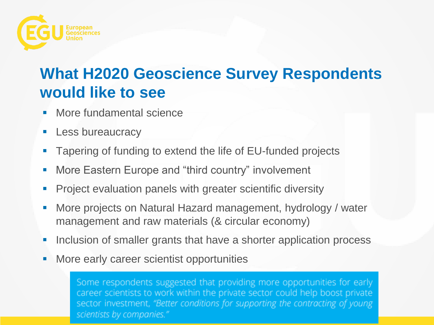

## **What H2020 Geoscience Survey Respondents would like to see**

- More fundamental science
- **Less bureaucracy**
- **Tapering of funding to extend the life of EU-funded projects**
- **More Eastern Europe and "third country" involvement**
- **Project evaluation panels with greater scientific diversity**
- **More projects on Natural Hazard management, hydrology / water** management and raw materials (& circular economy)
- **Inclusion of smaller grants that have a shorter application process**
- **More early career scientist opportunities**

Some respondents suggested that providing more opportunities for early career scientists to work within the private sector could help boost private sector investment, "Better conditions for supporting the contracting of young scientists by companies."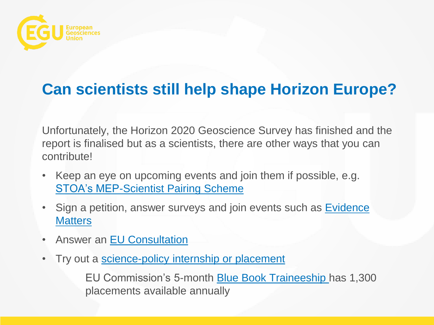

## **Can scientists still help shape Horizon Europe?**

Unfortunately, the Horizon 2020 Geoscience Survey has finished and the report is finalised but as a scientists, there are other ways that you can contribute!

- Keep an eye on upcoming events and join them if possible, e.g. [STOA's MEP-Scientist Pairing Scheme](http://www.europarl.europa.eu/stoa/en/home/highlights)
- Sign a petition, answer surveys and join events such as **Evidence Matters**
- Answer an [EU Consultation](https://ec.europa.eu/info/consultations_en)
- Try out a [science-policy internship or placement](https://static.egu.eu/static/14690/policy/EGU_Science_Policy_Internship_Fellowship_Secondment_List.pdf)

EU Commission's 5-month **Blue Book Traineeship** has 1,300 placements available annually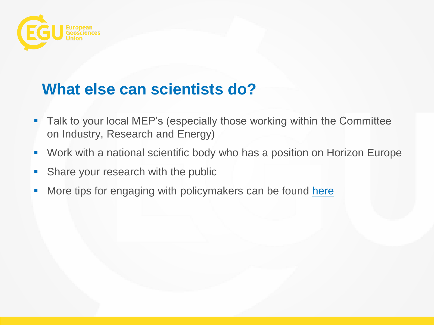

## **What else can scientists do?**

- **Talk to your local MEP's (especially those working within the Committee** on Industry, Research and Energy)
- Work with a national scientific body who has a position on Horizon Europe
- **Share your research with the public**
- More tips for engaging with policymakers can be found [here](https://www.egu.eu/policy/basics/engage-with-policy/)